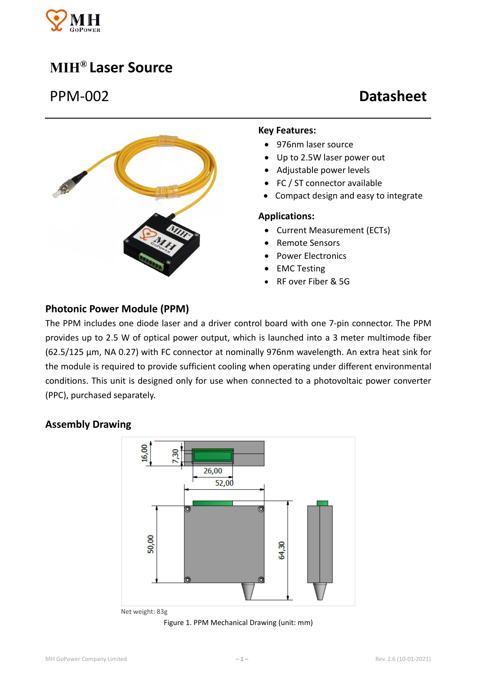

# **MIH® Laser Source**

# PPM-002 **Datasheet**



#### **Key Features:**

- 976nm laser source
- Up to 2.5W laser power out
- Adjustable power levels
- FC / ST connector available
- Compact design and easy to integrate

#### **Applications:**

- Current Measurement (ECTs)
- Remote Sensors
- Power Electronics
- EMC Testing
- RF over Fiber & 5G

### **Photonic Power Module (PPM)**

The PPM includes one diode laser and a driver control board with one 7-pin connector. The PPM provides up to 2.5 W of optical power output, which is launched into a 3 meter multimode fiber (62.5/125 μm, NA 0.27) with FC connector at nominally 976nm wavelength. An extra heat sink for the module is required to provide sufficient cooling when operating under different environmental conditions. This unit is designed only for use when connected to a photovoltaic power converter (PPC), purchased separately.

#### **Assembly Drawing**



Net weight: 83g

Figure 1. PPM Mechanical Drawing (unit: mm)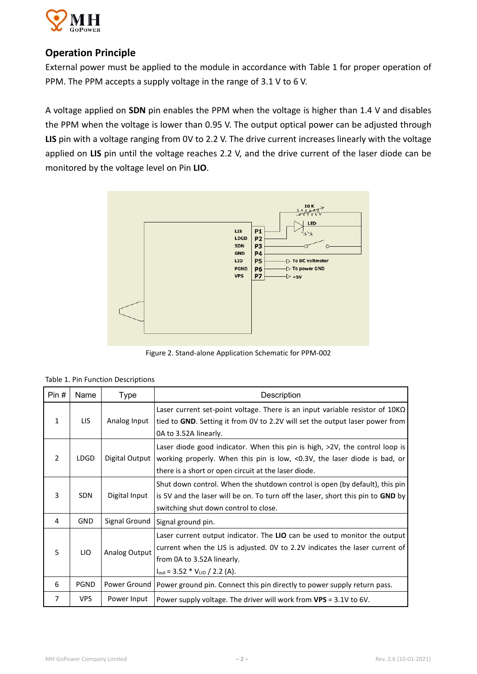

# **Operation Principle**

External power must be applied to the module in accordance with Table 1 for proper operation of PPM. The PPM accepts a supply voltage in the range of 3.1 V to 6 V.

A voltage applied on **SDN** pin enables the PPM when the voltage is higher than 1.4 V and disables the PPM when the voltage is lower than 0.95 V. The output optical power can be adjusted through **LIS** pin with a voltage ranging from 0V to 2.2 V. The drive current increases linearly with the voltage applied on **LIS** pin until the voltage reaches 2.2 V, and the drive current of the laser diode can be monitored by the voltage level on Pin **LIO**.



Figure 2. Stand-alone Application Schematic for PPM-002

| Table 1. Pin Function Descriptions |
|------------------------------------|
|                                    |

| Pin#           | Name        | <b>Type</b>    | Description                                                                                                                                                                                                                                   |  |  |
|----------------|-------------|----------------|-----------------------------------------------------------------------------------------------------------------------------------------------------------------------------------------------------------------------------------------------|--|--|
| 1              | LIS.        | Analog Input   | Laser current set-point voltage. There is an input variable resistor of $10K\Omega$<br>tied to GND. Setting it from 0V to 2.2V will set the output laser power from<br>0A to 3.52A linearly.                                                  |  |  |
| $\overline{2}$ | <b>LDGD</b> | Digital Output | Laser diode good indicator. When this pin is high, >2V, the control loop is<br>working properly. When this pin is low, <0.3V, the laser diode is bad, or<br>there is a short or open circuit at the laser diode.                              |  |  |
| 3              | <b>SDN</b>  | Digital Input  | Shut down control. When the shutdown control is open (by default), this pin<br>is 5V and the laser will be on. To turn off the laser, short this pin to GND by<br>switching shut down control to close.                                       |  |  |
| 4              | <b>GND</b>  | Signal Ground  | Signal ground pin.                                                                                                                                                                                                                            |  |  |
| 5              | LIO         | Analog Output  | Laser current output indicator. The LIO can be used to monitor the output<br>current when the LIS is adjusted. OV to 2.2V indicates the laser current of<br>from 0A to 3.52A linearly.<br>$I_{\text{out}} = 3.52 * V_{\text{LIO}} / 2.2 (A).$ |  |  |
| 6              | <b>PGND</b> | Power Ground   | Power ground pin. Connect this pin directly to power supply return pass.                                                                                                                                                                      |  |  |
| 7              | <b>VPS</b>  | Power Input    | Power supply voltage. The driver will work from $VPS = 3.1V$ to 6V.                                                                                                                                                                           |  |  |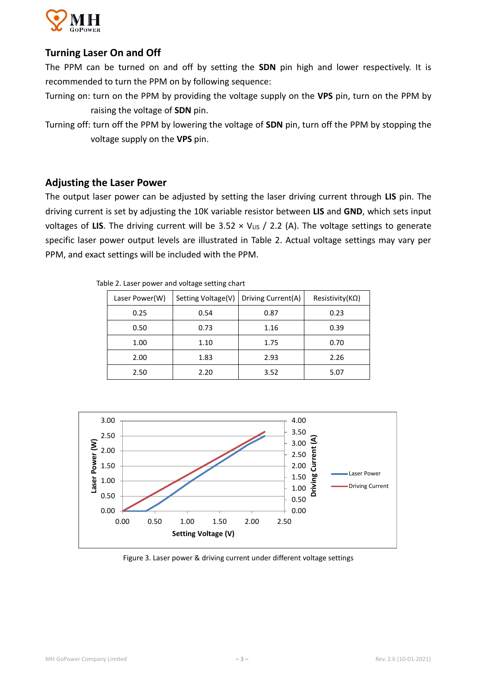

# **Turning Laser On and Off**

The PPM can be turned on and off by setting the **SDN** pin high and lower respectively. It is recommended to turn the PPM on by following sequence:

- Turning on: turn on the PPM by providing the voltage supply on the **VPS** pin, turn on the PPM by raising the voltage of **SDN** pin.
- Turning off: turn off the PPM by lowering the voltage of **SDN** pin, turn off the PPM by stopping the voltage supply on the **VPS** pin.

### **Adjusting the Laser Power**

The output laser power can be adjusted by setting the laser driving current through **LIS** pin. The driving current is set by adjusting the 10K variable resistor between **LIS** and **GND**, which sets input voltages of LIS. The driving current will be  $3.52 \times V_{LIS}$  / 2.2 (A). The voltage settings to generate specific laser power output levels are illustrated in Table 2. Actual voltage settings may vary per PPM, and exact settings will be included with the PPM.

| Laser Power(W) | Setting Voltage(V) | Driving Current(A) | Resistivity( $K\Omega$ ) |
|----------------|--------------------|--------------------|--------------------------|
| 0.25           | 0.54               | 0.87               | 0.23                     |
| 0.50           | 0.73               | 1.16               | 0.39                     |
| 1.00           | 1.10               | 1.75               | 0.70                     |
| 2.00           | 1.83               | 2.93               | 2.26                     |
| 2.50           | 2.20               | 3.52               | 5.07                     |

Table 2. Laser power and voltage setting chart



Figure 3. Laser power & driving current under different voltage settings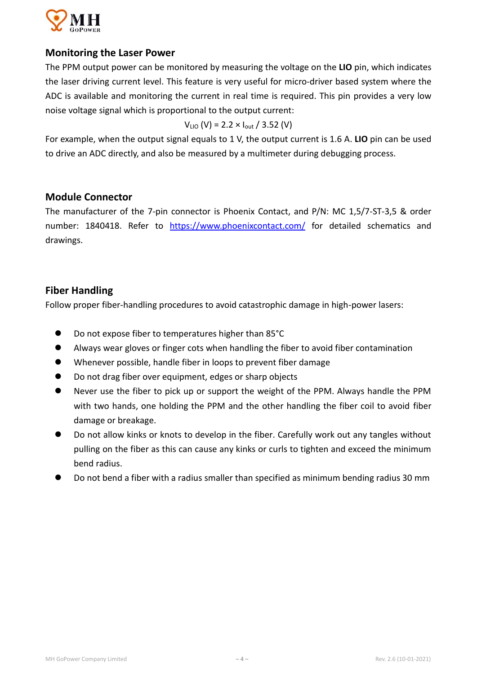

## **Monitoring the Laser Power**

The PPM output power can be monitored by measuring the voltage on the **LIO** pin, which indicates the laser driving current level. This feature is very useful for micro-driver based system where the ADC is available and monitoring the current in real time is required. This pin provides a very low noise voltage signal which is proportional to the output current:

$$
V_{LIO}
$$
 (V) = 2.2 × I<sub>out</sub> / 3.52 (V)

For example, when the output signal equals to 1 V, the output current is 1.6 A. **LIO** pin can be used to drive an ADC directly, and also be measured by a multimeter during debugging process.

## **Module Connector**

The manufacturer of the 7-pin connector is Phoenix Contact, and P/N: MC 1,5/7-ST-3,5 & order number: 1840418. Refer to [https://www.phoenixcontact.com/](https://www.phoenixcontact.com/assets/interactive_ed/local_us/modules/0000160/page180.html) for detailed schematics and drawings.

# **Fiber Handling**

Follow proper fiber-handling procedures to avoid catastrophic damage in high-power lasers:

- Do not expose fiber to temperatures higher than 85°C
- Always wear gloves or finger cots when handling the fiber to avoid fiber contamination
- Whenever possible, handle fiber in loops to prevent fiber damage
- Do not drag fiber over equipment, edges or sharp objects
- Never use the fiber to pick up or support the weight of the PPM. Always handle the PPM with two hands, one holding the PPM and the other handling the fiber coil to avoid fiber damage or breakage.
- Do not allow kinks or knots to develop in the fiber. Carefully work out any tangles without pulling on the fiber as this can cause any kinks or curls to tighten and exceed the minimum bend radius.
- Do not bend a fiber with a radius smaller than specified as minimum bending radius 30 mm